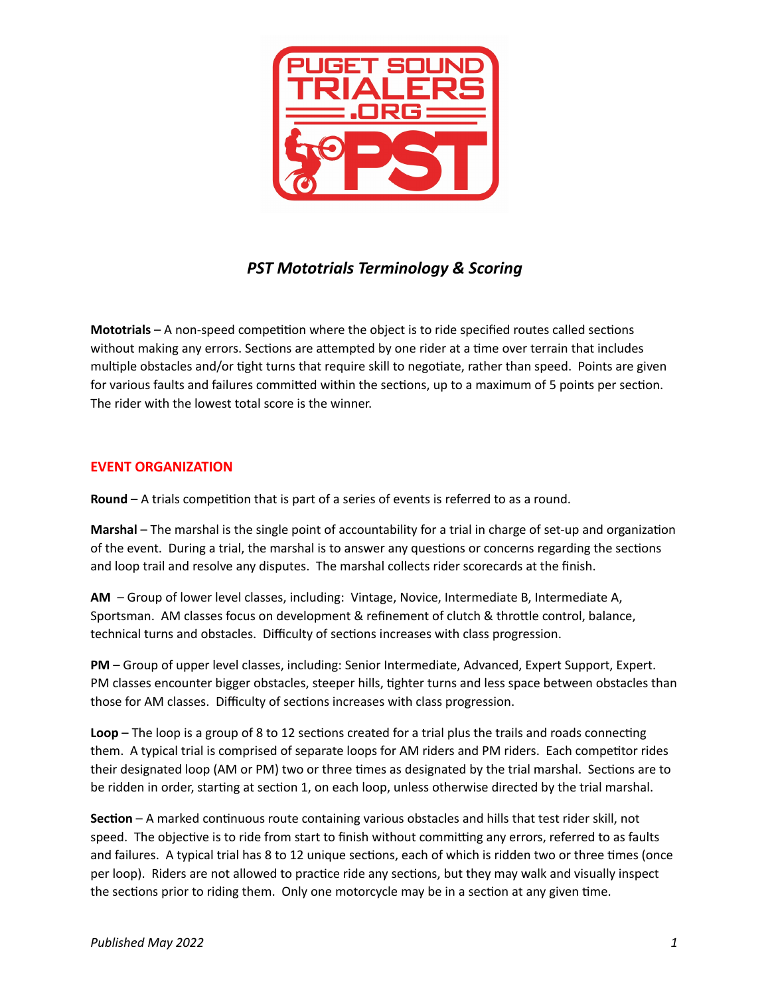

## *PST Mototrials Terminology & Scoring*

**Mototrials** – A non-speed competition where the object is to ride specified routes called sections without making any errors. Sections are attempted by one rider at a time over terrain that includes multiple obstacles and/or tight turns that require skill to negotiate, rather than speed. Points are given for various faults and failures committed within the sections, up to a maximum of 5 points per section. The rider with the lowest total score is the winner.

## **EVENT ORGANIZATION**

**Round** – A trials competition that is part of a series of events is referred to as a round.

**Marshal** – The marshal is the single point of accountability for a trial in charge of set-up and organization of the event. During a trial, the marshal is to answer any questions or concerns regarding the sections and loop trail and resolve any disputes. The marshal collects rider scorecards at the finish.

**AM** – Group of lower level classes, including: Vintage, Novice, Intermediate B, Intermediate A, Sportsman. AM classes focus on development & refinement of clutch & throttle control, balance, technical turns and obstacles. Difficulty of sections increases with class progression.

**PM** – Group of upper level classes, including: Senior Intermediate, Advanced, Expert Support, Expert. PM classes encounter bigger obstacles, steeper hills, tighter turns and less space between obstacles than those for AM classes. Difficulty of sections increases with class progression.

**Loop** – The loop is a group of 8 to 12 sections created for a trial plus the trails and roads connecting them. A typical trial is comprised of separate loops for AM riders and PM riders. Each competitor rides their designated loop (AM or PM) two or three times as designated by the trial marshal. Sections are to be ridden in order, starting at section 1, on each loop, unless otherwise directed by the trial marshal.

**Section** – A marked continuous route containing various obstacles and hills that test rider skill, not speed. The objective is to ride from start to finish without committing any errors, referred to as faults and failures. A typical trial has 8 to 12 unique sections, each of which is ridden two or three times (once per loop). Riders are not allowed to practice ride any sections, but they may walk and visually inspect the sections prior to riding them. Only one motorcycle may be in a section at any given time.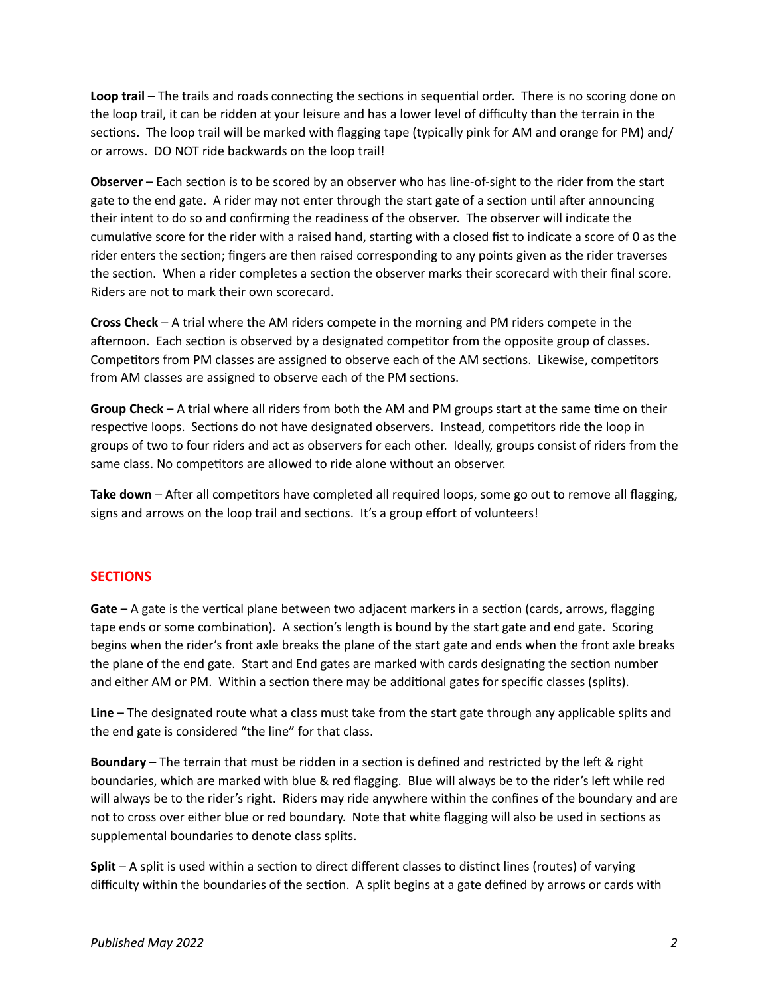Loop trail – The trails and roads connecting the sections in sequential order. There is no scoring done on the loop trail, it can be ridden at your leisure and has a lower level of difficulty than the terrain in the sections. The loop trail will be marked with flagging tape (typically pink for AM and orange for PM) and/ or arrows. DO NOT ride backwards on the loop trail!

**Observer** – Each section is to be scored by an observer who has line-of-sight to the rider from the start gate to the end gate. A rider may not enter through the start gate of a section until after announcing their intent to do so and confirming the readiness of the observer. The observer will indicate the cumulative score for the rider with a raised hand, starting with a closed fist to indicate a score of 0 as the rider enters the section; fingers are then raised corresponding to any points given as the rider traverses the section. When a rider completes a section the observer marks their scorecard with their final score. Riders are not to mark their own scorecard.

**Cross Check** – A trial where the AM riders compete in the morning and PM riders compete in the afternoon. Each section is observed by a designated competitor from the opposite group of classes. Competitors from PM classes are assigned to observe each of the AM sections. Likewise, competitors from AM classes are assigned to observe each of the PM sections.

**Group Check** – A trial where all riders from both the AM and PM groups start at the same time on their respective loops. Sections do not have designated observers. Instead, competitors ride the loop in groups of two to four riders and act as observers for each other. Ideally, groups consist of riders from the same class. No competitors are allowed to ride alone without an observer.

**Take down** – After all competitors have completed all required loops, some go out to remove all flagging, signs and arrows on the loop trail and sections. It's a group effort of volunteers!

## **SECTIONS**

**Gate** – A gate is the vertical plane between two adjacent markers in a section (cards, arrows, flagging tape ends or some combination). A section's length is bound by the start gate and end gate. Scoring begins when the rider's front axle breaks the plane of the start gate and ends when the front axle breaks the plane of the end gate. Start and End gates are marked with cards designating the section number and either AM or PM. Within a section there may be additional gates for specific classes (splits).

**Line** – The designated route what a class must take from the start gate through any applicable splits and the end gate is considered "the line" for that class.

**Boundary** – The terrain that must be ridden in a section is defined and restricted by the left & right boundaries, which are marked with blue & red flagging. Blue will always be to the rider's left while red will always be to the rider's right. Riders may ride anywhere within the confines of the boundary and are not to cross over either blue or red boundary. Note that white flagging will also be used in sections as supplemental boundaries to denote class splits.

**Split** – A split is used within a section to direct different classes to distinct lines (routes) of varying difficulty within the boundaries of the section. A split begins at a gate defined by arrows or cards with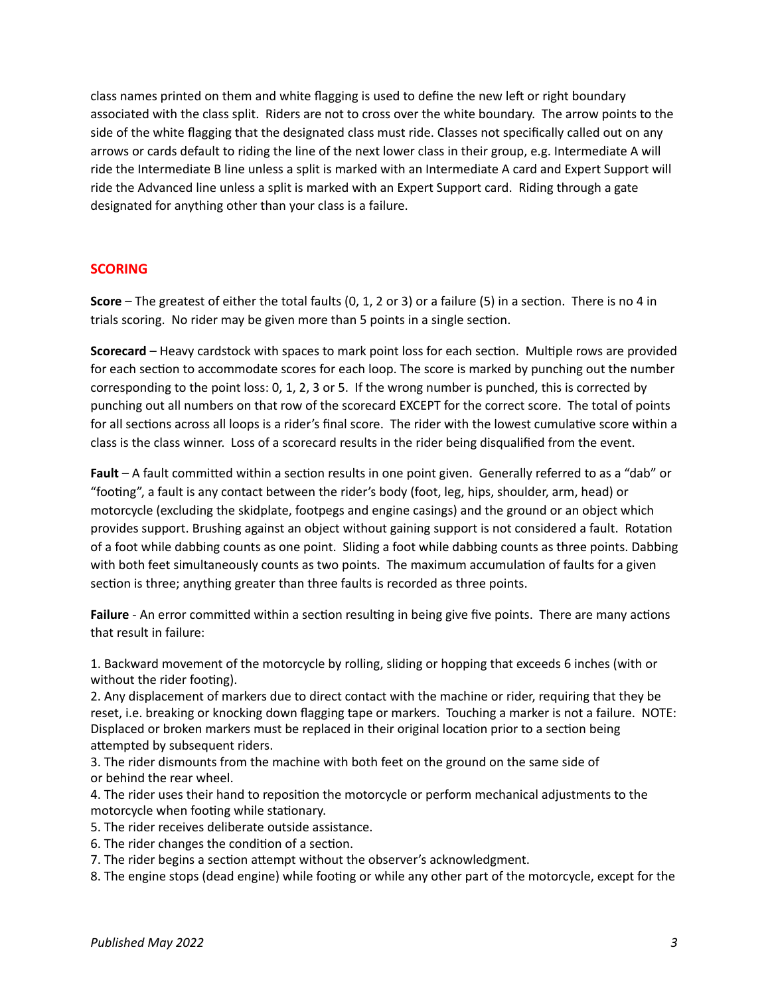class names printed on them and white flagging is used to define the new left or right boundary associated with the class split. Riders are not to cross over the white boundary. The arrow points to the side of the white flagging that the designated class must ride. Classes not specifically called out on any arrows or cards default to riding the line of the next lower class in their group, e.g. Intermediate A will ride the Intermediate B line unless a split is marked with an Intermediate A card and Expert Support will ride the Advanced line unless a split is marked with an Expert Support card. Riding through a gate designated for anything other than your class is a failure.

## **SCORING**

**Score** – The greatest of either the total faults (0, 1, 2 or 3) or a failure (5) in a section. There is no 4 in trials scoring. No rider may be given more than 5 points in a single section.

**Scorecard** – Heavy cardstock with spaces to mark point loss for each section. Multiple rows are provided for each section to accommodate scores for each loop. The score is marked by punching out the number corresponding to the point loss: 0, 1, 2, 3 or 5. If the wrong number is punched, this is corrected by punching out all numbers on that row of the scorecard EXCEPT for the correct score. The total of points for all sections across all loops is a rider's final score. The rider with the lowest cumulative score within a class is the class winner. Loss of a scorecard results in the rider being disqualified from the event.

**Fault** – A fault committed within a section results in one point given. Generally referred to as a "dab" or "footing", a fault is any contact between the rider's body (foot, leg, hips, shoulder, arm, head) or motorcycle (excluding the skidplate, footpegs and engine casings) and the ground or an object which provides support. Brushing against an object without gaining support is not considered a fault. Rotation of a foot while dabbing counts as one point. Sliding a foot while dabbing counts as three points. Dabbing with both feet simultaneously counts as two points. The maximum accumulation of faults for a given section is three; anything greater than three faults is recorded as three points.

**Failure** - An error committed within a section resulting in being give five points. There are many actions that result in failure:

1. Backward movement of the motorcycle by rolling, sliding or hopping that exceeds 6 inches (with or without the rider footing).

2. Any displacement of markers due to direct contact with the machine or rider, requiring that they be reset, i.e. breaking or knocking down flagging tape or markers. Touching a marker is not a failure. NOTE: Displaced or broken markers must be replaced in their original location prior to a section being attempted by subsequent riders.

3. The rider dismounts from the machine with both feet on the ground on the same side of or behind the rear wheel.

4. The rider uses their hand to reposition the motorcycle or perform mechanical adjustments to the motorcycle when footing while stationary.

- 5. The rider receives deliberate outside assistance.
- 6. The rider changes the condition of a section.

7. The rider begins a section attempt without the observer's acknowledgment.

8. The engine stops (dead engine) while footing or while any other part of the motorcycle, except for the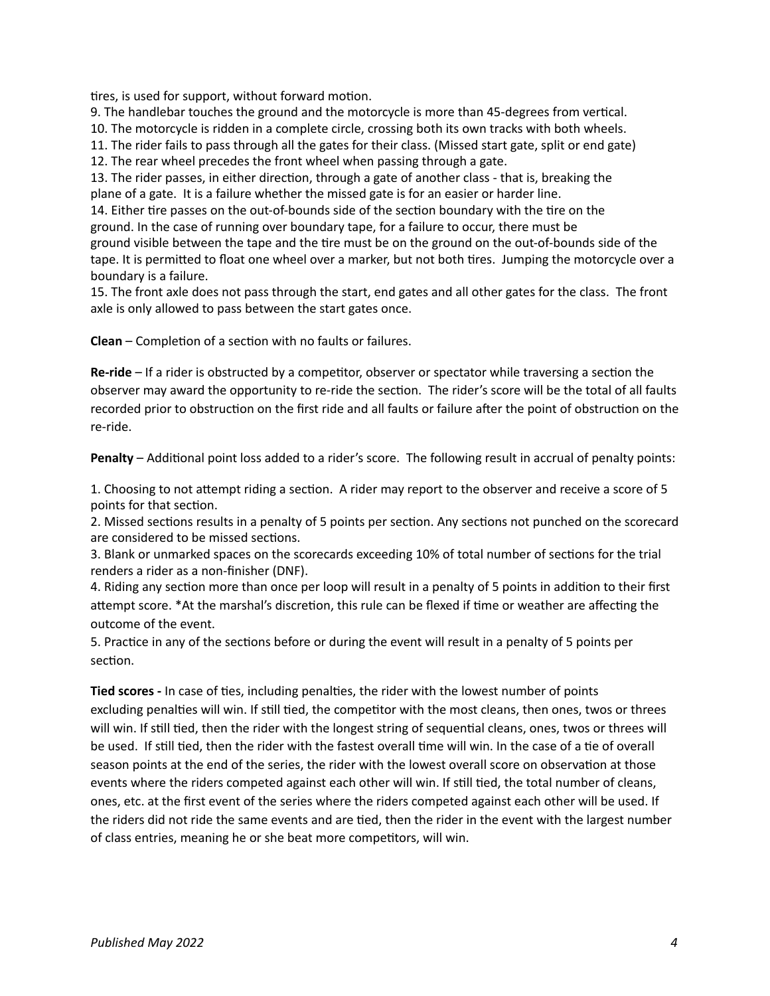tires, is used for support, without forward motion.

9. The handlebar touches the ground and the motorcycle is more than 45-degrees from vertical.

10. The motorcycle is ridden in a complete circle, crossing both its own tracks with both wheels.

11. The rider fails to pass through all the gates for their class. (Missed start gate, split or end gate)

12. The rear wheel precedes the front wheel when passing through a gate.

13. The rider passes, in either direction, through a gate of another class - that is, breaking the plane of a gate. It is a failure whether the missed gate is for an easier or harder line.

14. Either tire passes on the out-of-bounds side of the section boundary with the tire on the ground. In the case of running over boundary tape, for a failure to occur, there must be ground visible between the tape and the tire must be on the ground on the out-of-bounds side of the

tape. It is permitted to float one wheel over a marker, but not both tires. Jumping the motorcycle over a boundary is a failure.

15. The front axle does not pass through the start, end gates and all other gates for the class. The front axle is only allowed to pass between the start gates once.

**Clean** – Completion of a section with no faults or failures.

**Re-ride** – If a rider is obstructed by a competitor, observer or spectator while traversing a section the observer may award the opportunity to re-ride the section. The rider's score will be the total of all faults recorded prior to obstruction on the first ride and all faults or failure after the point of obstruction on the re-ride.

**Penalty** – Additional point loss added to a rider's score. The following result in accrual of penalty points:

1. Choosing to not attempt riding a section. A rider may report to the observer and receive a score of 5 points for that section.

2. Missed sections results in a penalty of 5 points per section. Any sections not punched on the scorecard are considered to be missed sections.

3. Blank or unmarked spaces on the scorecards exceeding 10% of total number of sections for the trial renders a rider as a non-finisher (DNF).

4. Riding any section more than once per loop will result in a penalty of 5 points in addition to their first attempt score. \*At the marshal's discretion, this rule can be flexed if time or weather are affecting the outcome of the event.

5. Practice in any of the sections before or during the event will result in a penalty of 5 points per section.

**Tied scores -** In case of ties, including penalties, the rider with the lowest number of points excluding penalties will win. If still tied, the competitor with the most cleans, then ones, twos or threes will win. If still tied, then the rider with the longest string of sequential cleans, ones, twos or threes will be used. If still tied, then the rider with the fastest overall time will win. In the case of a tie of overall season points at the end of the series, the rider with the lowest overall score on observation at those events where the riders competed against each other will win. If still tied, the total number of cleans, ones, etc. at the first event of the series where the riders competed against each other will be used. If the riders did not ride the same events and are tied, then the rider in the event with the largest number of class entries, meaning he or she beat more competitors, will win.